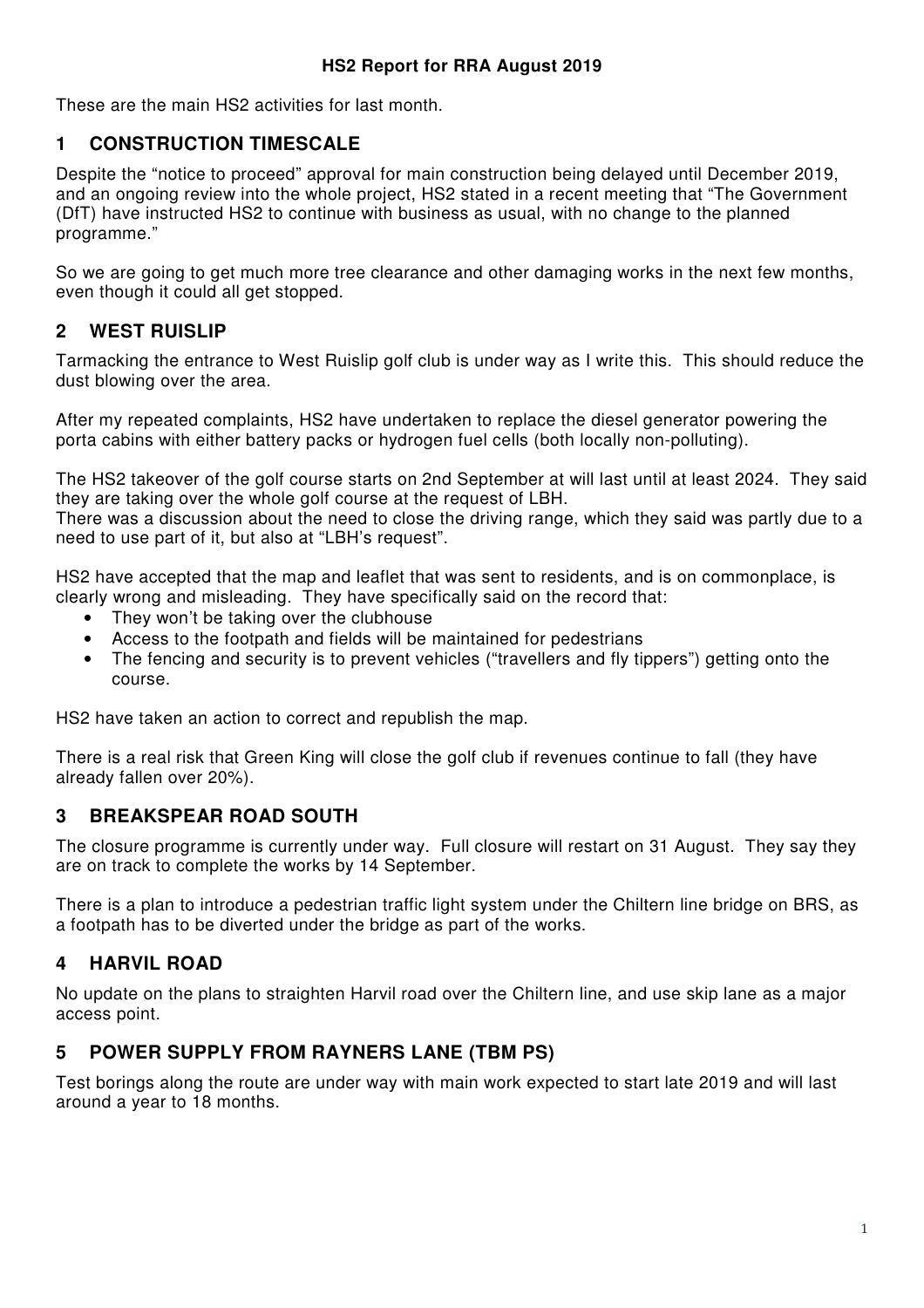These are the main HS2 activities for last month.

## **1 CONSTRUCTION TIMESCALE**

Despite the "notice to proceed" approval for main construction being delayed until December 2019, and an ongoing review into the whole project, HS2 stated in a recent meeting that "The Government (DfT) have instructed HS2 to continue with business as usual, with no change to the planned programme."

So we are going to get much more tree clearance and other damaging works in the next few months, even though it could all get stopped.

# **2 WEST RUISLIP**

Tarmacking the entrance to West Ruislip golf club is under way as I write this. This should reduce the dust blowing over the area.

After my repeated complaints, HS2 have undertaken to replace the diesel generator powering the porta cabins with either battery packs or hydrogen fuel cells (both locally non-polluting).

The HS2 takeover of the golf course starts on 2nd September at will last until at least 2024. They said they are taking over the whole golf course at the request of LBH.

There was a discussion about the need to close the driving range, which they said was partly due to a need to use part of it, but also at "LBH's request".

HS2 have accepted that the map and leaflet that was sent to residents, and is on commonplace, is clearly wrong and misleading. They have specifically said on the record that:

- They won't be taking over the clubhouse
- Access to the footpath and fields will be maintained for pedestrians
- The fencing and security is to prevent vehicles ("travellers and fly tippers") getting onto the course.

HS2 have taken an action to correct and republish the map.

There is a real risk that Green King will close the golf club if revenues continue to fall (they have already fallen over 20%).

## **3 BREAKSPEAR ROAD SOUTH**

The closure programme is currently under way. Full closure will restart on 31 August. They say they are on track to complete the works by 14 September.

There is a plan to introduce a pedestrian traffic light system under the Chiltern line bridge on BRS, as a footpath has to be diverted under the bridge as part of the works.

# **4 HARVIL ROAD**

No update on the plans to straighten Harvil road over the Chiltern line, and use skip lane as a major access point.

## **5 POWER SUPPLY FROM RAYNERS LANE (TBM PS)**

Test borings along the route are under way with main work expected to start late 2019 and will last around a year to 18 months.